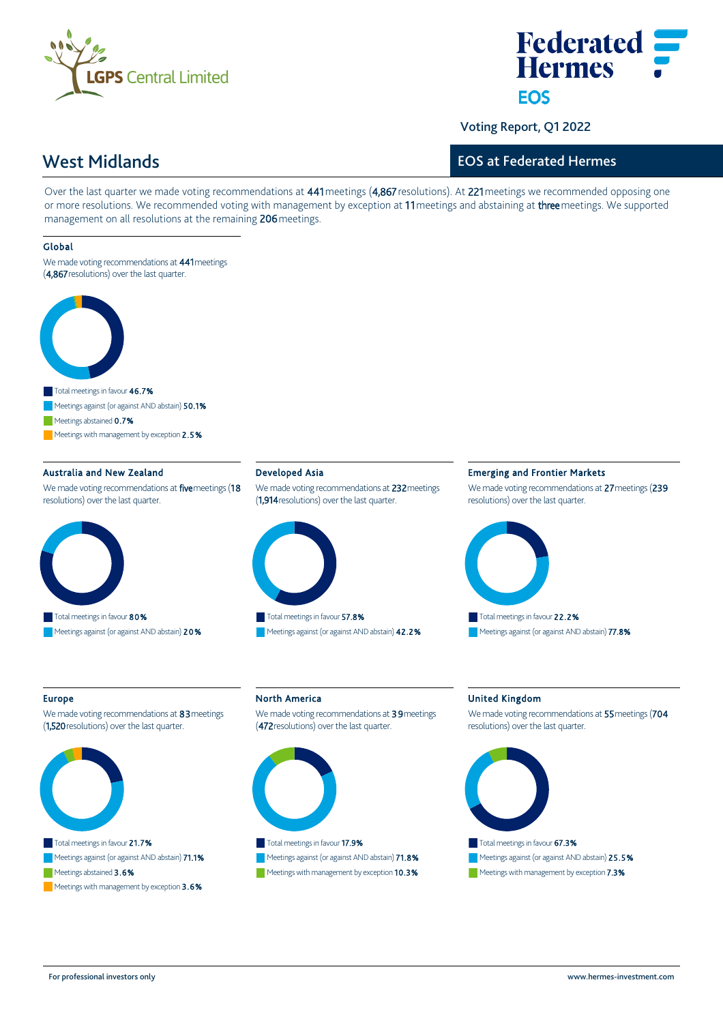



Voting Report, Q1 2022

# EOS at Federated Hermes

West Midlands

Over the last quarter we made voting recommendations at 441 meetings (4,867 resolutions). At 221 meetings we recommended opposing one or more resolutions. We recommended voting with management by exception at 11 meetings and abstaining at three meetings. We supported management on all resolutions at the remaining 206 meetings.

#### Global

We made voting recommendations at 441 meetings (4,867 resolutions) over the last quarter.



Meetings abstained 0.7%

Meetings with management by exception  $2.5%$ 

### Australia and New Zealand

We made voting recommendations at five meetings (18 resolutions) over the last quarter.



# Developed Asia

We made voting recommendations at 232 meetings (1,914 resolutions) over the last quarter.



Meetings against (or against AND abstain) 42.2%

#### Emerging and Frontier Markets

We made voting recommendations at 27 meetings (239 resolutions) over the last quarter.



#### Europe

We made voting recommendations at 83 meetings (1,520 resolutions) over the last quarter.



Meetings abstained 3.6%

Meetings with management by exception  $3.6\%$ 

North America

We made voting recommendations at 39 meetings (472 resolutions) over the last quarter.



# Meetings against (or against AND abstain) 71.8%

Meetings with management by exception 10.3%

#### United Kingdom

We made voting recommendations at 55 meetings (704 resolutions) over the last quarter.